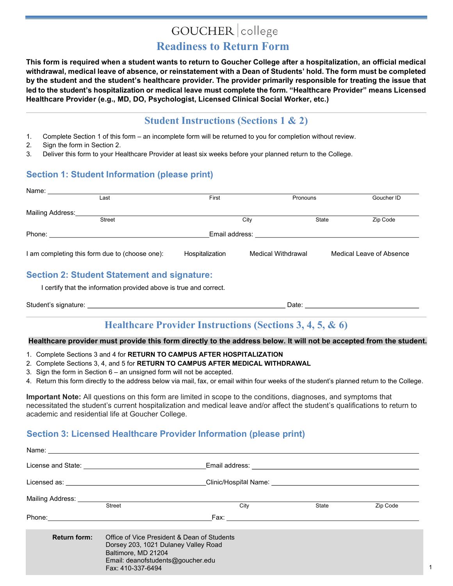# GOUCHER college

# **Readiness to Return Form**

This form is required when a student wants to return to Goucher College after a hospitalization, an official medical withdrawal, medical leave of absence, or reinstatement with a Dean of Students' hold. The form must be completed by the student and the student's healthcare provider. The provider primarily responsible for treating the issue that led to the student's hospitalization or medical leave must complete the form. "Healthcare Provider" means Licensed Healthcare Provider (e.g., MD, DO, Psychologist, Licensed Clinical Social Worker, etc.)

### **Student Instructions (Sections 1 & 2)**

- 1. Complete Section 1 of this form an incomplete form will be returned to you for completion without review.
- 2. Sign the form in Section 2.
- 3. Deliver this form to your Healthcare Provider at least six weeks before your planned return to the College.

### **Section 1: Student Information (please print)**

| Name:            |                                                |                 |                    |       |                          |
|------------------|------------------------------------------------|-----------------|--------------------|-------|--------------------------|
|                  | Last                                           | First           | Pronouns           |       | Goucher ID               |
| Mailing Address: |                                                |                 |                    |       |                          |
|                  | <b>Street</b>                                  |                 | City               | State | Zip Code                 |
| Phone:           |                                                | Email address:  |                    |       |                          |
|                  | I am completing this form due to (choose one): | Hospitalization | Medical Withdrawal |       | Medical Leave of Absence |

### **Section 2: Student Statement and signature:**

I certify that the information provided above is true and correct.

| Student's signature: |  |  |
|----------------------|--|--|
|                      |  |  |

## **Healthcare Provider Instructions (Sections 3, 4, 5, & 6)**

#### Healthcare provider must provide this form directly to the address below. It will not be accepted from the student.

- 1. Complete Sections 3 and 4 for **RETURN TO CAMPUS AFTER HOSPITALIZATION**
- 2. Complete Sections 3, 4, and 5 for **RETURN TO CAMPUS AFTER MEDICAL WITHDRAWAL**
- 3. Sign the form in Section  $6 -$  an unsigned form will not be accepted.
- 4. Return this form directly to the address below via mail, fax, or email within four weeks of the student's planned return to the College.

**Important Note:** All questions on this form are limited in scope to the conditions, diagnoses, and symptoms that necessitated the student's current hospitalization and medical leave and/or affect the student's qualifications to return to academic and residential life at Goucher College.

### **Section 3: Licensed Healthcare Provider Information (please print)**

|                     |                                                                                                                                                                      | Clinic/Hospital Name: Williams and Clinical Clinical Community of the Clinical Clinical Community of the Clinic                                                                                                               |       |          |
|---------------------|----------------------------------------------------------------------------------------------------------------------------------------------------------------------|-------------------------------------------------------------------------------------------------------------------------------------------------------------------------------------------------------------------------------|-------|----------|
|                     | <b>Street</b>                                                                                                                                                        | City                                                                                                                                                                                                                          | State | Zip Code |
|                     |                                                                                                                                                                      | Fax: with the contract of the contract of the contract of the contract of the contract of the contract of the contract of the contract of the contract of the contract of the contract of the contract of the contract of the |       |          |
| <b>Return form:</b> | Office of Vice President & Dean of Students<br>Dorsey 203, 1021 Dulaney Valley Road<br>Baltimore, MD 21204<br>Email: deanofstudents@goucher.edu<br>Fax: 410-337-6494 |                                                                                                                                                                                                                               |       |          |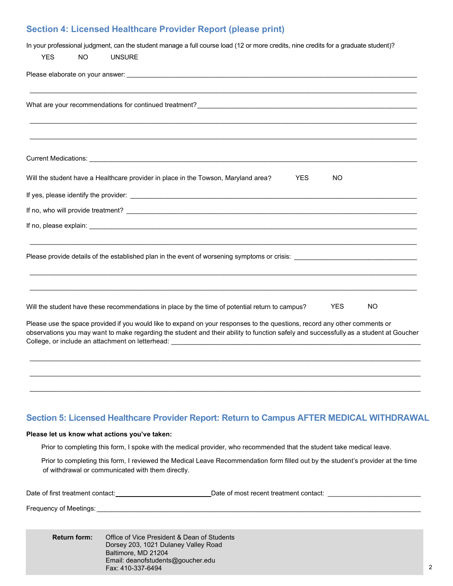### **Section 4: Licensed Healthcare Provider Report (please print)**

|            |     | In your professional judgment, can the student manage a full course load (12 or more credits, nine credits for a graduate student)?                                                                                                                                                                                                                     |  |
|------------|-----|---------------------------------------------------------------------------------------------------------------------------------------------------------------------------------------------------------------------------------------------------------------------------------------------------------------------------------------------------------|--|
| <b>YES</b> | NO. | <b>UNSURE</b>                                                                                                                                                                                                                                                                                                                                           |  |
|            |     |                                                                                                                                                                                                                                                                                                                                                         |  |
|            |     |                                                                                                                                                                                                                                                                                                                                                         |  |
|            |     | Current Medications: Lease and Current Medications and Current Medications and Current Medications and                                                                                                                                                                                                                                                  |  |
|            |     | Will the student have a Healthcare provider in place in the Towson, Maryland area?<br><b>YES</b><br><b>NO</b>                                                                                                                                                                                                                                           |  |
|            |     |                                                                                                                                                                                                                                                                                                                                                         |  |
|            |     |                                                                                                                                                                                                                                                                                                                                                         |  |
|            |     |                                                                                                                                                                                                                                                                                                                                                         |  |
|            |     | Please provide details of the established plan in the event of worsening symptoms or crisis: Letter and the exercisity of the extendion of the extendion of the extendion of the extendion of the extendion of the extendion o                                                                                                                          |  |
|            |     | <b>YES</b><br>NO<br>Will the student have these recommendations in place by the time of potential return to campus?                                                                                                                                                                                                                                     |  |
|            |     | Please use the space provided if you would like to expand on your responses to the questions, record any other comments or<br>observations you may want to make regarding the student and their ability to function safely and successfully as a student at Goucher<br>College, or include an attachment on letterhead: _______________________________ |  |
|            |     |                                                                                                                                                                                                                                                                                                                                                         |  |

### **Section 5: Licensed Healthcare Provider Report: Return to Campus AFTER MEDICAL WITHDRAWAL**

\_\_\_\_\_\_\_\_\_\_\_\_\_\_\_\_\_\_\_\_\_\_\_\_\_\_\_\_\_\_\_\_\_\_\_\_\_\_\_\_\_\_\_\_\_\_\_\_\_\_\_\_\_\_\_\_\_\_\_\_\_\_\_\_\_\_\_\_\_\_\_\_\_\_\_\_\_\_\_\_\_\_\_\_\_\_\_\_\_\_\_\_\_\_\_\_\_\_\_\_\_\_\_\_\_

#### Please let us know what actions you've taken:

Prior to completing this form, I spoke with the medical provider, who recommended that the student take medical leave.

Prior to completing this form, I reviewed the Medical Leave Recommendation form filled out by the student's provider at the time of withdrawal or communicated with them directly.

| Date of first treatment contact: | Date of most recent treatment contact: |  |
|----------------------------------|----------------------------------------|--|
|                                  |                                        |  |

Frequency of Meetings:

**Return form:** Office of Vice President & Dean of Students Dorsey 203, 1021 Dulaney Valley Road Baltimore, MD 21204 Email: deanofstudents@goucher.edu Fax: 410-337-6494